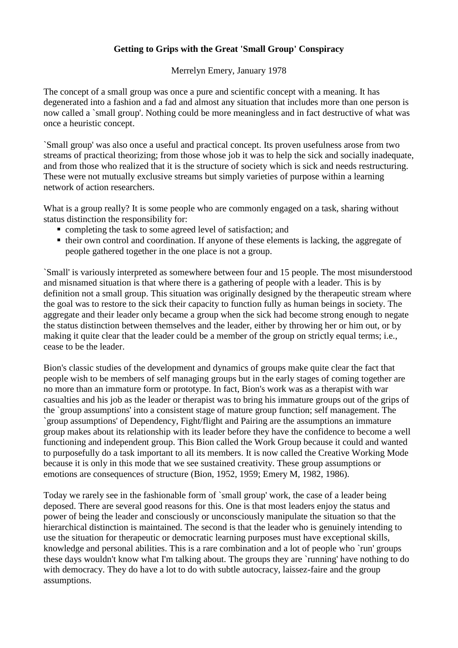## **Getting to Grips with the Great 'Small Group' Conspiracy**

## Merrelyn Emery, January 1978

The concept of a small group was once a pure and scientific concept with a meaning. It has degenerated into a fashion and a fad and almost any situation that includes more than one person is now called a `small group'. Nothing could be more meaningless and in fact destructive of what was once a heuristic concept.

`Small group' was also once a useful and practical concept. Its proven usefulness arose from two streams of practical theorizing; from those whose job it was to help the sick and socially inadequate, and from those who realized that it is the structure of society which is sick and needs restructuring. These were not mutually exclusive streams but simply varieties of purpose within a learning network of action researchers.

What is a group really? It is some people who are commonly engaged on a task, sharing without status distinction the responsibility for:

- completing the task to some agreed level of satisfaction; and
- their own control and coordination. If anyone of these elements is lacking, the aggregate of people gathered together in the one place is not a group.

`Small' is variously interpreted as somewhere between four and 15 people. The most misunderstood and misnamed situation is that where there is a gathering of people with a leader. This is by definition not a small group. This situation was originally designed by the therapeutic stream where the goal was to restore to the sick their capacity to function fully as human beings in society. The aggregate and their leader only became a group when the sick had become strong enough to negate the status distinction between themselves and the leader, either by throwing her or him out, or by making it quite clear that the leader could be a member of the group on strictly equal terms; i.e., cease to be the leader.

Bion's classic studies of the development and dynamics of groups make quite clear the fact that people wish to be members of self managing groups but in the early stages of coming together are no more than an immature form or prototype. In fact, Bion's work was as a therapist with war casualties and his job as the leader or therapist was to bring his immature groups out of the grips of the `group assumptions' into a consistent stage of mature group function; self management. The `group assumptions' of Dependency, Fight/flight and Pairing are the assumptions an immature group makes about its relationship with its leader before they have the confidence to become a well functioning and independent group. This Bion called the Work Group because it could and wanted to purposefully do a task important to all its members. It is now called the Creative Working Mode because it is only in this mode that we see sustained creativity. These group assumptions or emotions are consequences of structure (Bion, 1952, 1959; Emery M, 1982, 1986).

Today we rarely see in the fashionable form of `small group' work, the case of a leader being deposed. There are several good reasons for this. One is that most leaders enjoy the status and power of being the leader and consciously or unconsciously manipulate the situation so that the hierarchical distinction is maintained. The second is that the leader who is genuinely intending to use the situation for therapeutic or democratic learning purposes must have exceptional skills, knowledge and personal abilities. This is a rare combination and a lot of people who `run' groups these days wouldn't know what I'm talking about. The groups they are `running' have nothing to do with democracy. They do have a lot to do with subtle autocracy, laissez-faire and the group assumptions.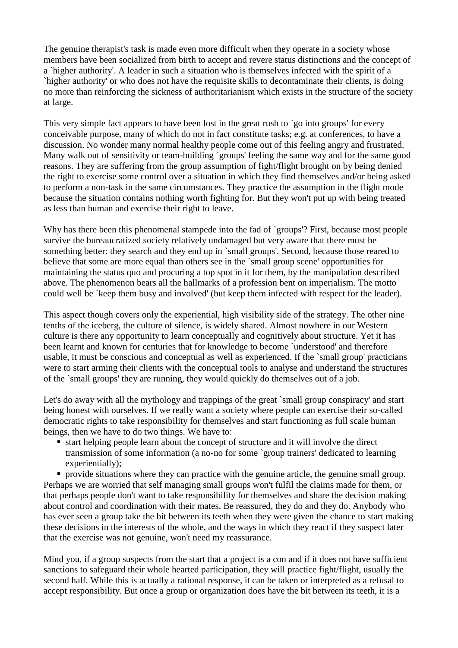The genuine therapist's task is made even more difficult when they operate in a society whose members have been socialized from birth to accept and revere status distinctions and the concept of a `higher authority'. A leader in such a situation who is themselves infected with the spirit of a `higher authority' or who does not have the requisite skills to decontaminate their clients, is doing no more than reinforcing the sickness of authoritarianism which exists in the structure of the society at large.

This very simple fact appears to have been lost in the great rush to `go into groups' for every conceivable purpose, many of which do not in fact constitute tasks; e.g. at conferences, to have a discussion. No wonder many normal healthy people come out of this feeling angry and frustrated. Many walk out of sensitivity or team-building `groups' feeling the same way and for the same good reasons. They are suffering from the group assumption of fight/flight brought on by being denied the right to exercise some control over a situation in which they find themselves and/or being asked to perform a non-task in the same circumstances. They practice the assumption in the flight mode because the situation contains nothing worth fighting for. But they won't put up with being treated as less than human and exercise their right to leave.

Why has there been this phenomenal stampede into the fad of `groups'? First, because most people survive the bureaucratized society relatively undamaged but very aware that there must be something better: they search and they end up in `small groups'. Second, because those reared to believe that some are more equal than others see in the `small group scene' opportunities for maintaining the status quo and procuring a top spot in it for them, by the manipulation described above. The phenomenon bears all the hallmarks of a profession bent on imperialism. The motto could well be `keep them busy and involved' (but keep them infected with respect for the leader).

This aspect though covers only the experiential, high visibility side of the strategy. The other nine tenths of the iceberg, the culture of silence, is widely shared. Almost nowhere in our Western culture is there any opportunity to learn conceptually and cognitively about structure. Yet it has been learnt and known for centuries that for knowledge to become `understood' and therefore usable, it must be conscious and conceptual as well as experienced. If the `small group' practicians were to start arming their clients with the conceptual tools to analyse and understand the structures of the `small groups' they are running, they would quickly do themselves out of a job.

Let's do away with all the mythology and trappings of the great `small group conspiracy' and start being honest with ourselves. If we really want a society where people can exercise their so-called democratic rights to take responsibility for themselves and start functioning as full scale human beings, then we have to do two things. We have to:

■ start helping people learn about the concept of structure and it will involve the direct transmission of some information (a no-no for some `group trainers' dedicated to learning experientially);

• provide situations where they can practice with the genuine article, the genuine small group. Perhaps we are worried that self managing small groups won't fulfil the claims made for them, or that perhaps people don't want to take responsibility for themselves and share the decision making about control and coordination with their mates. Be reassured, they do and they do. Anybody who has ever seen a group take the bit between its teeth when they were given the chance to start making these decisions in the interests of the whole, and the ways in which they react if they suspect later that the exercise was not genuine, won't need my reassurance.

Mind you, if a group suspects from the start that a project is a con and if it does not have sufficient sanctions to safeguard their whole hearted participation, they will practice fight/flight, usually the second half. While this is actually a rational response, it can be taken or interpreted as a refusal to accept responsibility. But once a group or organization does have the bit between its teeth, it is a